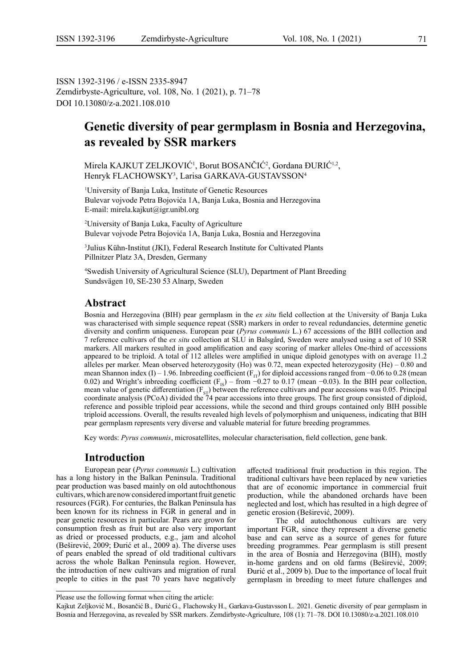ISSN 1392-3196 / e-ISSN 2335-8947 Zemdirbyste-Agriculture, vol. 108, No. 1 (2021), p. 71–78 DOI 10.13080/z-a.2021.108.010

# **Genetic diversity of pear germplasm in Bosnia and Herzegovina, as revealed by SSR markers**

Mirela KAJKUT ZELJKOVIĆ<sup>1</sup>, Borut BOSANČIĆ<sup>2</sup>, Gordana ĐURIĆ<sup>1,2</sup>, Henryk FLACHOWSKY3 , Larisa GARKAVA-GUSTAVSSON4

1 University of Banja Luka, Institute of Genetic Resources Bulevar vojvode Petra Bojovića 1A, Banja Luka, Bosnia and Herzegovina E-mail: mirela.kajkut@igr.unibl.org

2 University of Banja Luka, Faculty of Agriculture Bulevar vojvode Petra Bojovića 1A, Banja Luka, Bosnia and Herzegovina

3 Julius Kühn-Institut (JKI), Federal Research Institute for Cultivated Plants Pillnitzer Platz 3A, Dresden, Germany

4 Swedish University of Agricultural Science (SLU), Department of Plant Breeding Sundsvägen 10, SE-230 53 Alnarp, Sweden

# **Abstract**

Bosnia and Herzegovina (BIH) pear germplasm in the *ex situ* field collection at the University of Banja Luka was characterised with simple sequence repeat (SSR) markers in order to reveal redundancies, determine genetic diversity and confirm uniqueness. European pear (*Pyrus communis* L.) 67 accessions of the BIH collection and 7 reference cultivars of the *ex situ* collection at SLU in Balsgård, Sweden were analysed using a set of 10 SSR markers. All markers resulted in good amplification and easy scoring of marker alleles One-third of accessions appeared to be triploid. A total of 112 alleles were amplified in unique diploid genotypes with on average 11.2 alleles per marker. Mean observed heterozygosity (Ho) was 0.72, mean expected heterozygosity (He) – 0.80 and mean Shannon index (I) – 1.96. Inbreeding coefficient ( $F_{IT}$ ) for diploid accessions ranged from −0.06 to 0.28 (mean 0.02) and Wright's inbreeding coefficient ( $F_{IS}$ ) – from −0.27 to 0.17 (mean −0.03). In the BIH pear collection, mean value of genetic differentiation  $(F_{ST})$  between the reference cultivars and pear accessions was 0.05. Principal coordinate analysis (PCoA) divided the 74 pear accessions into three groups. The first group consisted of diploid, reference and possible triploid pear accessions, while the second and third groups contained only BIH possible triploid accessions. Overall, the results revealed high levels of polymorphism and uniqueness, indicating that BIH pear germplasm represents very diverse and valuable material for future breeding programmes.

Key words: *Pyrus communis*, microsatellites, molecular characterisation, field collection, gene bank.

# **Introduction**

European pear (*Pyrus communis* L.) cultivation has a long history in the Balkan Peninsula. Traditional pear production was based mainly on old autochthonous cultivars, which are now considered important fruit genetic resources (FGR). For centuries, the Balkan Peninsula has been known for its richness in FGR in general and in pear genetic resources in particular. Pears are grown for consumption fresh as fruit but are also very important as dried or processed products, e.g., jam and alcohol (Beširević, 2009; Đurić et al., 2009 a). The diverse uses of pears enabled the spread of old traditional cultivars across the whole Balkan Peninsula region. However, the introduction of new cultivars and migration of rural people to cities in the past 70 years have negatively

affected traditional fruit production in this region. The traditional cultivars have been replaced by new varieties that are of economic importance in commercial fruit production, while the abandoned orchards have been neglected and lost, which has resulted in a high degree of genetic erosion (Beširević, 2009).

The old autochthonous cultivars are very important FGR, since they represent a diverse genetic base and can serve as a source of genes for future breeding programmes. Pear germplasm is still present in the area of Bosnia and Herzegovina (BIH), mostly in-home gardens and on old farms (Beširević, 2009; Đurić et al., 2009 b). Due to the importance of local fruit germplasm in breeding to meet future challenges and

Please use the following format when citing the article:

Kajkut Zeljković M., Bosančić B., Đurić G., Flachowsky H., Garkava-Gustavsson L. 2021. Genetic diversity of pear germplasm in Bosnia and Herzegovina, as revealed by SSR markers. Zemdirbyste-Agriculture, 108 (1): 71–78. DOI 10.13080/z-a.2021.108.010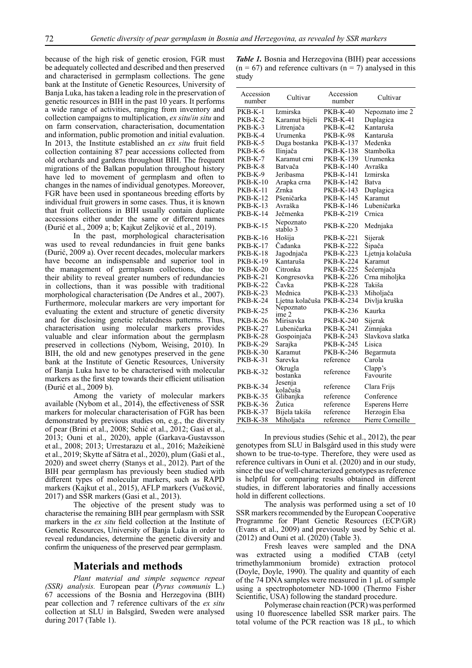because of the high risk of genetic erosion, FGR must be adequately collected and described and then preserved and characterised in germplasm collections. The gene bank at the Institute of Genetic Resources, University of Banja Luka, has taken a leading role in the preservation of genetic resources in BIH in the past 10 years. It performs a wide range of activities, ranging from inventory and collection campaigns to multiplication, *ex situ*/*in situ* and on farm conservation, characterisation, documentation and information, public promotion and initial evaluation. In 2013, the Institute established an *ex situ* fruit field collection containing 87 pear accessions collected from old orchards and gardens throughout BIH. The frequent migrations of the Balkan population throughout history have led to movement of germplasm and often to changes in the names of individual genotypes. Moreover, FGR have been used in spontaneous breeding efforts by individual fruit growers in some cases. Thus, it is known that fruit collections in BIH usually contain duplicate accessions either under the same or different names (Đurić et al., 2009 a; b; Kajkut Zeljković et al., 2019).

In the past, morphological characterisation was used to reveal redundancies in fruit gene banks (Đurić, 2009 a). Over recent decades, molecular markers have become an indispensable and superior tool in the management of germplasm collections, due to their ability to reveal greater numbers of redundancies in collections, than it was possible with traditional morphological characterisation (De Andres et al., 2007). Furthermore, molecular markers are very important for evaluating the extent and structure of genetic diversity and for disclosing genetic relatedness patterns. Thus, characterisation using molecular markers provides valuable and clear information about the germplasm preserved in collections (Nybom, Weising, 2010). In BIH, the old and new genotypes preserved in the gene bank at the Institute of Genetic Resources, University of Banja Luka have to be characterised with molecular markers as the first step towards their efficient utilisation (Đurić et al., 2009 b).

Among the variety of molecular markers available (Nybom et al., 2014), the effectiveness of SSR markers for molecular characterisation of FGR has been demonstrated by previous studies on, e.g., the diversity of pear (Brini et al., 2008; Sehić et al., 2012; Gasi et al., 2013; Ouni et al., 2020), apple (Garkava-Gustavsson et al., 2008; 2013; Urrestarazu et al., 2016; Mažeikienė et al., 2019; Skytte af Sätra et al., 2020), plum (Gaši et al., 2020) and sweet cherry (Stanys et al., 2012). Part of the BIH pear germplasm has previously been studied with different types of molecular markers, such as RAPD markers (Kajkut et al., 2015), AFLP markers (Vučković, 2017) and SSR markers (Gasi et al., 2013).

The objective of the present study was to characterise the remaining BIH pear germplasm with SSR markers in the *ex situ* field collection at the Institute of Genetic Resources, University of Banja Luka in order to reveal redundancies, determine the genetic diversity and confirm the uniqueness of the preserved pear germplasm.

#### **Materials and methods**

*Plant material and simple sequence repeat (SSR) analysis.* European pear (*Pyrus communis* L.) 67 accessions of the Bosnia and Herzegovina (BIH) pear collection and 7 reference cultivars of the *ex situ* collection at SLU in Balsgård, Sweden were analysed during 2017 (Table 1).

*Table 1.* Bosnia and Herzegovina (BIH) pear accessions  $(n = 67)$  and reference cultivars  $(n = 7)$  analysed in this study

| Accession<br>number | Cultivar                  | Accession<br>number | Cultivar              |
|---------------------|---------------------------|---------------------|-----------------------|
| $PKB-K-1$           | Izmirska                  | <b>PKB-K-40</b>     | Nepoznato ime 2       |
| PKB-K-2             | Karamut bijeli            | PKB-K-41            | Duplagica             |
| PKB-K-3             | Litrenjača                | <b>PKB-K-42</b>     | Kantaruša             |
| PKB-K-4             | Urumenka                  | <b>PKB-K-98</b>     | Kantaruša             |
| PKB-K-5             | Duga bostanka             | <b>PKB-K-137</b>    | Medenka               |
| PKB-K-6             | Ilinjača                  | <b>PKB-K-138</b>    | Stambolka             |
| PKB-K-7             | Karamut crni              | PKB-K-139           | Urumenka              |
| PKB-K-8             | Batvača                   | <b>PKB-K-140</b>    | Avraška               |
| PKB-K-9             | Jeribasma                 | PKB-K-141           | Izmirska              |
| <b>PKB-K-10</b>     | Arapka crna               | PKB-K-142           | Batva                 |
| <b>PKB-K-11</b>     | Zrnka                     | PKB-K-143           | Duplagica             |
| <b>PKB-K-12</b>     | Pšeničarka                | <b>PKB-K-145</b>    | Karamut               |
| PKB-K-13            | Avraška                   | <b>PKB-K-146</b>    | Lubeničarka           |
| <b>PKB-K-14</b>     | Ječmenka                  | PKB-K-219           | Crnica                |
| <b>PKB-K-15</b>     | Nepoznato<br>stablo 3     | <b>PKB-K-220</b>    | Mednjaka              |
| <b>PKB-K-16</b>     | Hošija                    | PKB-K-221           | Sijerak               |
| PKB-K-17            | Čađanka                   | <b>PKB-K-222</b>    | Sipača                |
| <b>PKB-K-18</b>     | Jagodnjača                | PKB-K-223           | Ljetnja kolačuša      |
| <b>PKB-K-19</b>     | Kantaruša                 | PKB-K-224           | Karamut               |
| <b>PKB-K-20</b>     | Citronka                  | <b>PKB-K-225</b>    | Šećernjača            |
| <b>PKB-K-21</b>     | Kongresovka               | <b>PKB-K-226</b>    | Crna miholjka         |
| <b>PKB-K-22</b>     | Čavka                     | <b>PKB-K-228</b>    | Takiša                |
| <b>PKB-K-23</b>     | Mednica                   | PKB-K-233           | Miholjača             |
| PKB-K-24            | Ljetna kolačuša PKB-K-234 |                     | Divlja kruška         |
| PKB-K-25            | Nepoznato<br>ime 2        | <b>PKB-K-236</b>    | Kaurka                |
| <b>PKB-K-26</b>     | Mirisavka                 | PKB-K-240           | Sijerak               |
| <b>PKB-K-27</b>     | Lubeničarka               | <b>PKB-K-241</b>    | Zimnjaka              |
| <b>PKB-K-28</b>     | Gospoinjača               | PKB-K-243           | Slavkova slatka       |
| PKB-K-29            | Sarajka                   | <b>PKB-K-245</b>    | Lisica                |
| <b>PKB-K-30</b>     | Karamut                   | <b>PKB-K-246</b>    | Begarmuta             |
| <b>PKB-K-31</b>     | Sarevka                   | reference           | Carola                |
| <b>PKB-K-32</b>     | Okrugla<br>bostanka       | reference           | Clapp's<br>Favourite  |
| PKB-K-34            | Jesenja<br>kolačuša       | reference           | Clara Frijs           |
| PKB-K-35            | Glibanjka                 | reference           | Conference            |
| PKB-K-36            | Žutica                    | reference           | <b>Esperens Herre</b> |
| <b>PKB-K-37</b>     | Bijela takiša             | reference           | Herzogin Elsa         |
| <b>PKB-K-38</b>     | Miholjača                 | reference           | Pierre Corneille      |

In previous studies (Sehic et al., 2012), the pear genotypes from SLU in Balsgård used in this study were shown to be true-to-type. Therefore, they were used as reference cultivars in Ouni et al. (2020) and in our study, since the use of well-characterized genotypes as reference is helpful for comparing results obtained in different studies, in different laboratories and finally accessions hold in different collections.

The analysis was performed using a set of 10 SSR markers recommended by the European Cooperative Programme for Plant Genetic Resources (ECP/GR) (Evans et al., 2009) and previously used by Sehic et al. (2012) and Ouni et al. (2020) (Table 3).

Fresh leaves were sampled and the DNA was extracted using a modified CTAB (cetyl trimethylammonium bromide) extraction protocol (Doyle, Doyle, 1990). The quality and quantity of each of the 74 DNA samples were measured in 1 μL of sample using a spectrophotometer ND-1000 (Thermo Fisher Scientific, USA) following the standard procedure.

Polymerase chain reaction (PCR) was performed using 10 fluorescence labelled SSR marker pairs. The total volume of the PCR reaction was 18 μL, to which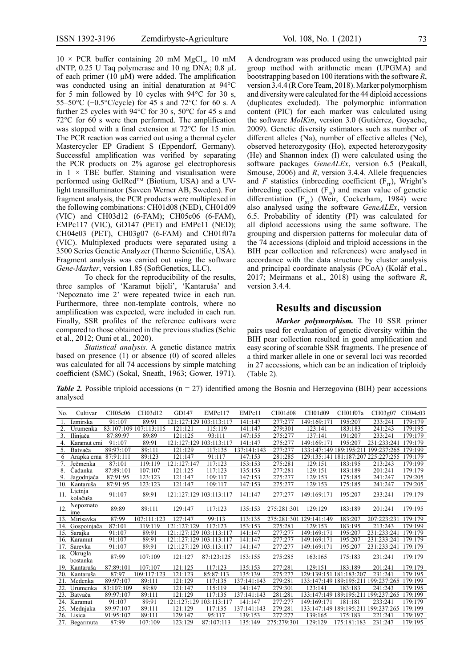$10 \times PCR$  buffer containing 20 mM MgCl<sub>2</sub>, 10 mM dNTP, 0.25 U Taq polymerase and 10 ng DNA; 0.8 μL of each primer (10  $\mu$ M) were added. The amplification was conducted using an initial denaturation at 94°C for 5 min followed by 10 cycles with 94°C for 30 s, 55–50°C (−0.5°C/cycle) for 45 s and 72°C for 60 s. A further 25 cycles with  $94^{\circ}$ C for 30 s, 50°C for 45 s and 72°C for 60 s were then performed. The amplification was stopped with a final extension at 72°C for 15 min. The PCR reaction was carried out using a thermal cycler Mastercycler EP Gradient S (Eppendorf, Germany). Successful amplification was verified by separating the PCR products on 2% agarose gel electrophoresis in  $1 \times$  TBE buffer. Staining and visualisation were performed using GelRed<sup>™</sup> (Biotium, USA) and a UVlight transilluminator (Saveen Werner AB, Sweden). For fragment analysis, the PCR products were multiplexed in the following combinations: CH01d08 (NED), CH01d09 (VIC) and CH03d12 (6-FAM); CH05c06 (6-FAM), EMPc117 (VIC), GD147 (PET) and EMPc11 (NED); CH04e03 (PET), CH03g07 (6-FAM) and CH01f07a (VIC). Multiplexed products were separated using a 3500 Series Genetic Analyzer (Thermo Scientific, USA). Fragment analysis was carried out using the software *Gene-Marker*, version 1.85 (SoftGenetics, LLC).

To check for the reproducibility of the results, three samples of 'Karamut bijeli', 'Kantaruša' and 'Nepoznato ime 2' were repeated twice in each run. Furthermore, three non-template controls, where no amplification was expected, were included in each run. Finally, SSR profiles of the reference cultivars were compared to those obtained in the previous studies (Sehic et al., 2012; Ouni et al., 2020).

*Statistical analysis.* A genetic distance matrix based on presence (1) or absence (0) of scored alleles was calculated for all 74 accessions by simple matching coefficient (SMC) (Sokal, Sneath, 1963; Gower, 1971). A dendrogram was produced using the unweighted pair group method with arithmetic mean (UPGMA) and bootstrapping based on 100 iterations with the software *R*, version 3.4.4 (R Core Team, 2018). Marker polymorphism and diversity were calculated for the 44 diploid accessions (duplicates excluded). The polymorphic information content (PIC) for each marker was calculated using the software *MolKin*, version 3.0 (Gutiérrez, Goyache, 2009). Genetic diversity estimators such as number of different alleles (Na), number of effective alleles (Ne), observed heterozygosity (Ho), expected heterozygosity (He) and Shannon index (I) were calculated using the software packages *GeneALEx*, version 6.5 (Peakall, Smouse, 2006) and *R*, version 3.4.4. Allele frequencies and *F* statistics (inbreeding coefficient  $(F_{T})$ , Wright's inbreeding coefficient  $(F_{IS})$  and mean value of genetic differentiation  $(F_{ST})$  (Weir, Cockerham, 1984) were also analysed using the software *GeneALEx*, version 6.5. Probability of identity (PI) was calculated for all diploid accessions using the same software. The grouping and dispersion patterns for molecular data of the 74 accessions (diploid and triploid accessions in the BIH pear collection and references) were analysed in accordance with the data structure by cluster analysis and principal coordinate analysis (PCoA) (Kolář et al., 2017; Meirmans et al., 2018) using the software *R*, version 3.4.4.

## **Results and discussion**

*Marker polymorphism.* The 10 SSR primer pairs used for evaluation of genetic diversity within the BIH pear collection resulted in good amplification and easy scoring of scorable SSR fragments. The presence of a third marker allele in one or several loci was recorded in 27 accessions, which can be an indication of triploidy (Table 2).

*Table 2.* Possible triploid accessions ( $n = 27$ ) identified among the Bosnia and Herzegovina (BIH) pear accessions analysed

| No.              | Cultivar                     | CH05c06    | CH03d12                | GD147                   | EMPc117     | EMPc11      | CH01d08                 | CH01d09                 | CH01f07a                | CH03g07                                     | CH04e03 |
|------------------|------------------------------|------------|------------------------|-------------------------|-------------|-------------|-------------------------|-------------------------|-------------------------|---------------------------------------------|---------|
| 1.               | Izmirska                     | 91:107     | 89:91                  | 121:127:129             | 103:113:117 | 141:147     | 277:277                 | 149:169:171             | 195:207                 | 233:241                                     | 179:179 |
| $\overline{2}$ . | Urumenka                     |            | 83:107:109 107:113:115 | 121:121                 | 115:119     | 141:147     | 279:301                 | 123:141                 | 183:183                 | 241:243                                     | 179:195 |
| 3.               | Ilinjača                     | 87:89:97   | 89:89                  | 121:125                 | 93:111      | 147:155     | 275:277                 | 137:141                 | 191:207                 | 233:241                                     | 179:179 |
| 4.               | Karamut crni                 | 91:107     | 89:91                  | 121:127:129 103:113:117 |             | 141:147     | 275:277                 | 149:169:171             | 195:207                 | 231:233:241                                 | 179:179 |
| 5.               | Batvača                      | 89:97:107  | 89:111                 | 121:129                 | 117:135     | 137:141:143 | 277:277                 |                         |                         | 133:147:149 189:195:211 199:237:265         | 179:199 |
| 6                | Arapka crna                  | 87:91:111  | 89:123                 | 121:147                 | 91:117      | 147:153     | 281:285                 |                         |                         | 129:135:141 181:187:207 225:227:255 179:179 |         |
|                  | Ječmenka                     | 87:101     | 119:119                | 121:127:147             | 117:123     | 153:153     | 275:281                 | 129:151                 | 183:195                 | 213:243                                     | 179:199 |
| 8.               | Čađanka                      | 87:89:101  | 107:107                | 121:125                 | 117:123     | 135:153     | 277:281                 | 129:151                 | 183:189                 | 201:241                                     | 179:179 |
| 9.               | Jagodnjača                   | 87:91:95   | 123:123                | 121:147                 | 109:117     | 147:153     | 275:277                 | 129:153                 | 175:185                 | 241:247                                     | 179:205 |
| 10.              | Kantaruša                    | 87:91:95   | 123:123                | 121:147                 | 109:117     | 147:153     | 275:277                 | 129:153                 | 175:185                 | 241:247                                     | 179:205 |
| 11.              | Ljetnja<br>kolačuša          | 91:107     | 89:91                  | 121:127:129 103:113:117 |             | 141:147     | 277:277                 | 149:169:171             | 195:207                 | 233:241                                     | 179:179 |
| 12.              | Nepoznato<br><sub>1</sub> me | 89:89      | 89:111                 | 129:147                 | 117:123     | 135:153     | 275:281:301             | 129:129                 | 183:189                 | 201:241                                     | 179:195 |
| 13.              | Mirisavka                    | 87:99      | 107:111:123            | 127:147                 | 99:113      | 113:135     | 275:281:301 129:141:149 |                         | 183:207                 | 207:223:231                                 | 179:179 |
| 14.              | Gospoinjača                  | 87:101     | 119:119                | 121:127:129             | 117:123     | 153:153     | 275:281                 | 129:153                 | 183:195                 | 213:243                                     | 179:199 |
| 15.              | Sarajka                      | 91:107     | 89:91                  | 121:127:129 103:113:117 |             | 141:147     | 277:277                 | 149:169:171             | 195:207                 | 231:233:241                                 | 179:179 |
| 16.              | Karamut                      | 91:107     | 89:91                  | 121:127:129 103:113:117 |             | 141:147     | 277:277                 | 149:169:171             | 195:207                 | 231:233:241                                 | 179:179 |
| 17.              | Sarevka                      | 91:107     | 89:91                  | 121:127:129 103:113:117 |             | 141:147     | 277:277                 | 149:169:171             | 195:207                 | 231:233:241                                 | 179:179 |
| 18.              | Okrugla<br>bostanka          | 87:99      | 107:109                | 121:127                 | 87:123:125  | 153:155     | 275:285                 | 163:165                 | 175:183                 | 231:241                                     | 179:179 |
| 19.              | Kantaruša                    | 87:89:101  | 107:107                | 121:125                 | 117:123     | 135:153     | 277:281                 | 129:151                 | 183:189                 | 201:241                                     | 179:179 |
| 20.              | Kantaruša                    | 87:97      | 109:117:123            | 121:123                 | 85:87:113   | 135:139     | 275:277                 |                         | 129:139:151 181:183:207 | 231:241                                     | 179:195 |
| 21               | Medenka                      | 89:97:107  | 89:111                 | 121:129                 | 117:135     | 137:141:143 | 279:281                 |                         | 133:147:149 189:195:211 | 199:237:265                                 | 179:199 |
| 22.              | Urumenka                     | 83:107:109 | 89:89                  | 121:147                 | 115:119     | 141:147     | 279:301                 | 123:141                 | 183:183                 | 241:243                                     | 179:195 |
| 23.              | Batvača                      | 89:97:107  | 89:111                 | 121:129                 | 117:135     | 137:141:143 | 281:281                 |                         | 133:147:149 189:195:211 | 199:237:265                                 | 179:199 |
| 24.              | Karamut                      | 91:107     | 89:91                  | 121:127:129             | 103:113:117 | 141:147     | 277:277                 | 149:169:171             | 181:181                 | 233:241                                     | 179:179 |
| 25.              | Mednjaka                     | 89:97:107  | 89:111                 | 121:129                 | 117:135     | 137:141:143 | 279:281                 | 133:147:149 189:195:211 |                         | 199:237:265                                 | 179:199 |
| 26.              | Lisica                       | 91:95:107  | 89:111                 | 129:147                 | 95:117      | 139:153     | 277:277                 | 139:165                 | 175:183                 | 221:241                                     | 179:197 |
| 27.              | Begarmuta                    | 87:99      | 107:109                | 123:129                 | 87:107:113  | 135:149     | 275:279:301             | 129:129                 | 175:181:183             | 231:247                                     | 179:195 |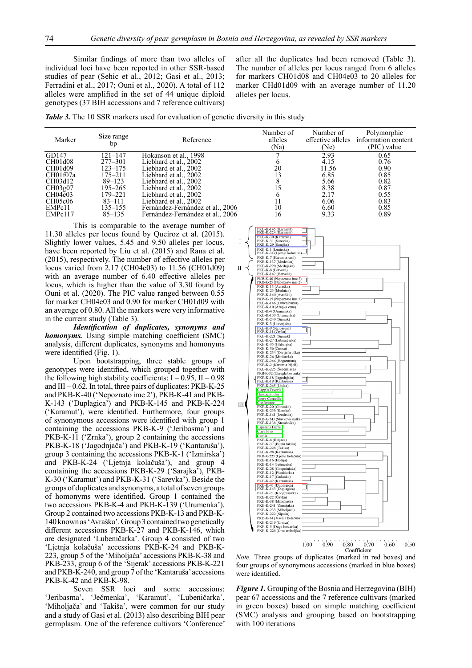Similar findings of more than two alleles of individual loci have been reported in other SSR-based studies of pear (Sehic et al., 2012; Gasi et al., 2013; Ferradini et al., 2017; Ouni et al., 2020). A total of 112 alleles were amplified in the set of 44 unique diploid genotypes (37 BIH accessions and 7 reference cultivars)

after all the duplicates had been removed (Table 3). The number of alleles per locus ranged from 6 alleles for markers CH01d08 and CH04e03 to 20 alleles for marker CHd01d09 with an average number of 11.20 alleles per locus.

*Table 3.* The 10 SSR markers used for evaluation of genetic diversity in this study

| Marker   | Size range<br>bp | Reference                        | Number of<br>alleles<br>(Na) | Number of<br>effective alleles<br>(Ne) | Polymorphic<br>information content<br>(PIC) value |
|----------|------------------|----------------------------------|------------------------------|----------------------------------------|---------------------------------------------------|
| GD147    | 121–147          | Hokanson et al., 1998            |                              | 2.93                                   | 0.65                                              |
| CH01d08  | $277 - 301$      | Liebhard et al., 2002            |                              | 4.15                                   | 0.76                                              |
| CH01d09  | $123 - 175$      | Liebhard et al., 2002            | 20                           | 11.56                                  | 0.90                                              |
| CH01f07a | 175–211          | Liebhard et al., 2002            |                              | 6.85                                   | 0.85                                              |
| CH03d12  | $89 - 123$       | Liebhard et al., 2002            |                              | 5.66                                   | 0.82                                              |
| CH03g07  | 195–265          | Liebhard et al., 2002            |                              | 8.38                                   | 0.87                                              |
| CH04e03  | 179–221          | Liebhard et al., 2002            |                              | 2.17                                   | 0.55                                              |
| CH05c06  | 83–111           | Liebhard et al., 2002            |                              | 6.06                                   | 0.83                                              |
| EMPc11   | 135–155          | Fernández-Fernández et al., 2006 | 10                           | 6.60                                   | 0.85                                              |
| EMPc117  | $85 - 135$       | Fernández-Fernández et al., 2006 | 16                           | 9.33                                   | 0.89                                              |

This is comparable to the average number of 11.30 alleles per locus found by Queiroz et al. (2015). Slightly lower values, 5.45 and 9.50 alleles per locus, have been reported by Liu et al. (2015) and Rana et al. (2015), respectively. The number of effective alleles per locus varied from 2.17 (CH04e03) to 11.56 (CH01d09) with an average number of 6.40 effective alleles per locus, which is higher than the value of 3.30 found by Ouni et al. (2020). The PIC value ranged between 0.55 for marker CH04e03 and 0.90 for marker CH01d09 with an average of 0.80. All the markers were very informative in the current study (Table 3).

*Identification of duplicates, synonyms and homonyms.* Using simple matching coefficient (SMC) analysis, different duplicates, synonyms and homonyms were identified (Fig.  $1$ ).

Upon bootstrapping, three stable groups of genotypes were identified, which grouped together with the following high stability coefficients:  $I - 0.95$ ,  $II - 0.98$ and  $III - 0.62$ . In total, three pairs of duplicates: PKB-K-25 and PKB-K-40 ('Nepoznato ime 2'), PKB-K-41 and PKB-K-143 ('Duplagica') and PKB-K-145 and PKB-K-224 ('Karamut'), were identified. Furthermore, four groups of synonymous accessions were identified with group 1 containing the accessions PKB-K-9 ('Jeribasma') and PKB-K-11 ('Zrnka'), group 2 containing the accessions PKB-K-18 ('Jagodnjača') and PKB-K-19 ('Kantaruša'), group 3 containing the accessions PKB-K-1 ('Izmirska') and PKB-K-24 ('Ljetnja kolačuša'), and group 4 containing the accessions PKB-K-29 ('Sarajka'), PKB-K-30 ('Karamut') and PKB-K-31 ('Sarevka'). Beside the groups of duplicates and synonyms, a total of seven groups of homonyms were identified. Group 1 contained the two accessions PKB-K-4 and PKB-K-139 ('Urumenka'). Group 2 contained two accessions PKB-K-13 and PKB-K-140 known as 'Avraška'. Group 3 contained two genetically different accessions PKB-K-27 and PKB-K-146, which are designated 'Lubeničarka'. Group 4 consisted of two 'Ljetnja kolačuša' accessions PKB-K-24 and PKB-K-223, group 5 of the 'Miholjača' accessions PKB-K-38 and PKB-233, group 6 of the 'Sijerak' accessions PKB-K-221 and PKB-K-240, and group 7 of the 'Kantaruša' accessions PKB-K-42 and PKB-K-98.

Seven SSR loci and some accessions: 'Jeribasma', 'Ječmenka', 'Karamut', 'Lubeničarka', 'Miholjača' and 'Takiša', were common for our study and a study of Gasi et al. (2013) also describing BIH pear germplasm. One of the reference cultivars 'Conference'



*Note.* Three groups of duplicates (marked in red boxes) and four groups of synonymous accessions (marked in blue boxes) were identified.

*Figure 1.* Grouping of the Bosnia and Herzegovina (BIH) pear 67 accessions and the 7 reference cultivars (marked in green boxes) based on simple matching coefficient (SMC) analysis and grouping based on bootstrapping with 100 iterations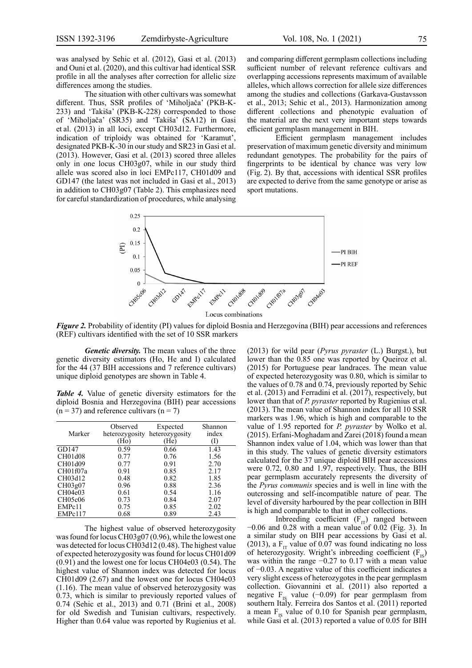was analysed by Sehic et al. (2012), Gasi et al. (2013) and Ouni et al. (2020), and this cultivar had identical SSR profile in all the analyses after correction for allelic size differences among the studies.

The situation with other cultivars was somewhat different. Thus, SSR profiles of 'Miholjača' (PKB-K-233) and 'Takiša' (PKB-K-228) corresponded to those of 'Miholjača' (SR35) and 'Takiša' (SA12) in Gasi et al. (2013) in all loci, except CH03d12. Furthermore, indication of triploidy was obtained for 'Karamut', designated PKB-K-30 in our study and SR23 in Gasi et al. (2013). However, Gasi et al. (2013) scored three alleles only in one locus CH03g07, while in our study third allele was scored also in loci EMPc117, CH01d09 and GD147 (the latest was not included in Gasi et al., 2013) in addition to CH03g07 (Table 2). This emphasizes need for careful standardization of procedures, while analysing and comparing different germplasm collections including sufficient number of relevant reference cultivars and overlapping accessions represents maximum of available alleles, which allows correction for allele size differences among the studies and collections (Garkava-Gustavsson et al., 2013; Sehic et al., 2013). Harmonization among different collections and phenotypic evaluation of the material are the next very important steps towards efficient germplasm management in BIH.

Efficient germplasm management includes preservation of maximum genetic diversity and minimum redundant genotypes. The probability for the pairs of fingerprints to be identical by chance was very low (Fig. 2). By that, accessions with identical SSR profiles are expected to derive from the same genotype or arise as sport mutations.



*Figure 2.* Probability of identity (PI) values for diploid Bosnia and Herzegovina (BIH) pear accessions and references (REF) cultivars identified with the set of 10 SSR markers

*Genetic diversity.* The mean values of the three genetic diversity estimators (Ho, He and I) calculated for the 44 (37 BIH accessions and 7 reference cultivars) unique diploid genotypes are shown in Table 4.

*Table 4.* Value of genetic diversity estimators for the diploid Bosnia and Herzegovina (BIH) pear accessions  $(n = 37)$  and reference cultivars  $(n = 7)$ 

| Marker   | Observed<br>heterozygosity<br>(Ho) | Expected<br>heterozygosity<br>(He) | Shannon<br>index<br>(I) |
|----------|------------------------------------|------------------------------------|-------------------------|
| GD147    | 0.59                               | 0.66                               | 1.43                    |
| CH01d08  | 0.77                               | 0.76                               | 1.56                    |
| CH01d09  | 0.77                               | 0.91                               | 2.70                    |
| CH01f07a | 0.91                               | 0.85                               | 2.17                    |
| CH03d12  | 0.48                               | 0.82                               | 1.85                    |
| CH03g07  | 0.96                               | 0.88                               | 2.36                    |
| CH04e03  | 0.61                               | 0.54                               | 1.16                    |
| CH05c06  | 0.73                               | 0.84                               | 2.07                    |
| EMPc11   | 0.75                               | 0.85                               | 2.02                    |
| EMPc117  | 0.68                               | 0.89                               | 2.43                    |

The highest value of observed heterozygosity was found for locus CH03g07 (0.96), while the lowest one was detected for locus CH03d12 (0.48). The highest value of expected heterozygosity was found for locus CH01d09 (0.91) and the lowest one for locus CH04e03 (0.54). The highest value of Shannon index was detected for locus CH01d09 (2.67) and the lowest one for locus CH04e03 (1.16). The mean value of observed heterozygosity was 0.73, which is similar to previously reported values of 0.74 (Sehic et al., 2013) and 0.71 (Brini et al., 2008) for old Swedish and Tunisian cultivars, respectively. Higher than 0.64 value was reported by Rugienius et al. (2013) for wild pear (*Pyrus pyraster* (L.) Burgst.), but lower than the 0.85 one was reported by Queiroz et al. (2015) for Portuguese pear landraces. The mean value of expected heterozygosity was 0.80, which is similar to the values of 0.78 and 0.74, previously reported by Sehic et al. (2013) and Ferradini et al. (2017), respectively, but lower than that of *P. pyraster* reported by Rugienius et al. (2013). The mean value of Shannon index for all 10 SSR markers was 1.96, which is high and comparable to the value of 1.95 reported for *P. pyraster* by Wolko et al. (2015). Erfani-Moghadam and Zarei (2018) found a mean Shannon index value of 1.04, which was lower than that in this study. The values of genetic diversity estimators calculated for the 37 unique diploid BIH pear accessions were 0.72, 0.80 and 1.97, respectively. Thus, the BIH pear germplasm accurately represents the diversity of the *Pyrus communis* species and is well in line with the outcrossing and self-incompatible nature of pear. The level of diversity harboured by the pear collection in BIH is high and comparable to that in other collections.

Indreding coefficient  $(F_{IT})$  ranged between  $-0.06$  and 0.28 with a mean value of 0.02 (Fig. 3). In a similar study on BIH pear accessions by Gasi et al. (2013), a  $F_{IT}$  value of 0.07 was found indicating no loss of heterozygosity. Wright's inbreeding coefficient  $(F_{1S})$ was within the range −0.27 to 0.17 with a mean value of −0.03. A negative value of this coefficient indicates a very slight excess of heterozygotes in the pear germplasm collection. Giovannini et al. (2011) also reported a negative  $F_{1s}$  value (−0.09) for pear germplasm from southern Italy. Ferreira dos Santos et al. (2011) reported a mean  $F_{IS}$  value of 0.10 for Spanish pear germplasm, while Gasi et al. (2013) reported a value of 0.05 for BIH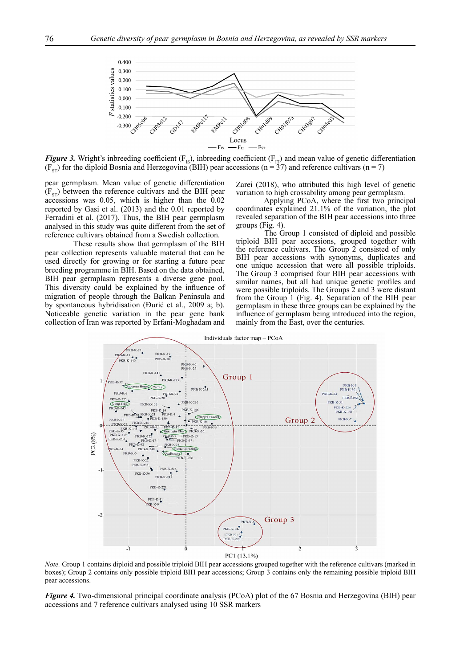

*Figure 3.* Wright's inbreeding coefficient ( $F_{IS}$ ), inbreeding coefficient ( $F_{IT}$ ) and mean value of genetic differentiation  $(F_{ST})$  for the diploid Bosnia and Herzegovina (BIH) pear accessions (n = 37) and reference cultivars (n = 7)

pear germplasm. Mean value of genetic differentiation  $(F_{ST})$  between the reference cultivars and the BIH pear accessions was 0.05, which is higher than the 0.02 reported by Gasi et al. (2013) and the 0.01 reported by Ferradini et al. (2017). Thus, the BIH pear germplasm analysed in this study was quite different from the set of reference cultivars obtained from a Swedish collection.

These results show that germplasm of the BIH pear collection represents valuable material that can be used directly for growing or for starting a future pear breeding programme in BIH. Based on the data obtained, BIH pear germplasm represents a diverse gene pool. This diversity could be explained by the influence of migration of people through the Balkan Peninsula and by spontaneous hybridisation (Đurić et al., 2009 a; b). Noticeable genetic variation in the pear gene bank collection of Iran was reported by Erfani-Moghadam and

Zarei (2018), who attributed this high level of genetic variation to high crossability among pear germplasm.

Applying PCoA, where the first two principal coordinates explained 21.1% of the variation, the plot revealed separation of the BIH pear accessions into three groups (Fig. 4).

The Group 1 consisted of diploid and possible triploid BIH pear accessions, grouped together with the reference cultivars. The Group 2 consisted of only BIH pear accessions with synonyms, duplicates and one unique accession that were all possible triploids. The Group 3 comprised four BIH pear accessions with similar names, but all had unique genetic profiles and were possible triploids. The Groups 2 and 3 were distant from the Group 1 (Fig. 4). Separation of the BIH pear germplasm in these three groups can be explained by the influence of germplasm being introduced into the region, mainly from the East, over the centuries.



*Note.* Group 1 contains diploid and possible triploid BIH pear accessions grouped together with the reference cultivars (marked in boxes); Group 2 contains only possible triploid BIH pear accessions; Group 3 contains only the remaining possible triploid BIH pear accessions.

*Figure 4.* Two-dimensional principal coordinate analysis (PCoA) plot of the 67 Bosnia and Herzegovina (BIH) pear accessions and 7 reference cultivars analysed using 10 SSR markers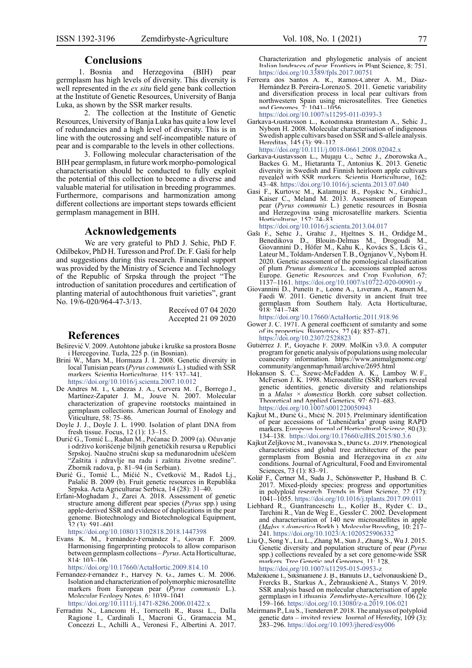### **Conclusions**

1. Bosnia and Herzegovina (BIH) pear germplasm has high levels of diversity. This diversity is well represented in the *ex situ* field gene bank collection at the Institute of Genetic Resources, University of Banja Luka, as shown by the SSR marker results.

2. The collection at the Institute of Genetic Resources, University of Banja Luka has quite a low level of redundancies and a high level of diversity. This is in line with the outcrossing and self-incompatible nature of pear and is comparable to the levels in other collections.

3. Following molecular characterisation of the BIH pear germplasm, in future work morpho-pomological characterisation should be conducted to fully exploit the potential of this collection to become a diverse and valuable material for utilisation in breeding programmes. Furthermore, comparisons and harmonization among different collections are important steps towards efficient germplasm management in BIH.

### **Acknowledgements**

We are very grateful to PhD J. Sehic, PhD F. Odilbekov, PhD H. Turesson and Prof. Dr. F. Gaši for help and suggestions during this research. Financial support was provided by the Ministry of Science and Technology of the Republic of Srpska through the project "The introduction of sanitation procedures and certification of planting material of autochthonous fruit varieties", grant No. 19/6-020/964-47-3/13.

> Received 07 04 2020 Accepted 21 09 2020

### **References**

- Beširević V. 2009. Autohtone jabuke i kruške sa prostora Bosne i Hercegovine. Tuzla, 225 p. (in Bosnian).
- Brini W., Mars M., Hormaza J. I. 2008. Genetic diversity in local Tunisian pears (*Pyrus communis* L.) studied with SSR markers. Scientia Horticulturae, 115: 337–341. [https://doi.org/10.1016/j.scienta.2007.10.012](https://doi.org/10.1016/S1002-0160(19)60833-7)
- De Andres M. T., Cabezas J. A., Cervera M. T., Borrego J., Martínez-Zapater J. M., Jouve N. 2007. Molecular characterization of grapevine rootstocks maintained in germplasm collections. American Journal of Enology and Viticulture, 58: 75–86.
- Doyle J. J., Doyle J. L. 1990. Isolation of plant DNA from fresh tissue. Focus, 12 (1): 13–15.
- Đurić G., Tomić L., Radun M., Pećanac D. 2009 (a). Očuvanje i održivo korišćenje biljnih genetičkih resursa u Republici Srpskoj. Naučno stručni skup sa međunarodnim učešćem "Zaštita i zdravlje na radu i zaštita životne sredine". Zbornik radova, p. 81–94 (in Serbian).
- Đurić G., Tomić L., Mićić N., Cvetković M., Radoš Lj., Pašalić B. 2009 (b). Fruit genetic resources in Republika Srpska. Acta Agriculturae Serbica, 14 (28): 31–40.
- Erfani-Moghadam J., Zarei A. 2018. Assessment of genetic structure among different pear species (*Pyrus* spp.) using apple-derived SSR and evidence of duplications in the pear genome. Biotechnology and Biotechnological Equipment, 32 (3): 591–601.

[https://doi.org/10.1080/13102818.2018.1447398](https://doi.org/10.1016/S1002-0160(19)60833-7)

Evans K. M., Fernández-Fernández F., Govan F. 2009. Harmonising fingerprinting protocols to allow comparison between germplasm collections – *Pyrus*. Acta Horticulturae, 814: 103–106.

[https://doi.org/10.17660/ActaHortic.2009.814.10](https://doi.org/10.1016/S1002-0160(19)60833-7)

Fernández-Fernández F., Harvey N. G., James C. M. 2006. Isolation and characterization of polymorphic microsatellite markers from European pear (*Pyrus communis* L.). Molecular Ecology Notes, 6: 1039–1041.

[https://doi.org/10.1111/j.1471-8286.2006.01422.x](https://doi.org/10.1016/S1002-0160(19)60833-7)

Ferradini N., Lancioni H., Torricelli R., Russi L., Dalla Ragione I., Cardinali I., Macroni G., Gramaccia M., Concezzi L., Achilli A., Veronesi F., Albertini A. 2017.

Characterization and phylogenetic analysis of ancient Italian landraces of pear. Frontiers in Plant Science, 8: 751. [https://doi.org/10.3389/fpls.2017.00751](https://doi.org/10.1016/S1002-0160(19)60833-7)

Ferreira dos Santos A. R., Ramos-Cabrer A. M., Diaz-Hernández B. Pereira-Lorenzo S. 2011. Genetic variability and diversification process in local pear cultivars from northwestern Spain using microsatellites. Tree Genetics and Genomes,  $7: 1041 - 1056$ .

[https://doi.org/10.1007/s11295-011-0393-3](https://doi.org/10.1016/S1002-0160(19)60833-7)

- Garkava-Gustavsson L., Kolodinska Brantestam A., Sehic J., Nybom H. 2008. Molecular characterisation of indigenous Swedish apple cultivars based on SSR and S-allele analysis. Hereditas, 145 (3): 99–112.
	- [https://doi.org/10.1111/j.0018-0661.2008.02042.x](https://doi.org/10.1016/S1002-0160(19)60833-7)
- Garkava-Gustavsson L., Mujaju C., Sehic J., Zborowska A., Backes G. M., Hietaranta T., Antonius K. 2013. Genetic diversity in Swedish and Finnish heirloom apple cultivars revealed with SSR markers. Scientia Horticulturae, 162: 43–48. [https://doi.org/10.1016/j.scienta.2013.07.040](https://doi.org/10.1016/S1002-0160(19)60833-7)
- Gasi F., Kurtovic M., Kalamujic B., Pojskic N., GrahicJ., Kaiser C., Meland M. 2013. Assessment of European pear (*Pyrus communis* L.) genetic resources in Bosnia and Herzegovina using microsatellite markers. Scientia Horticulturae, 157: 74–83.

[https://doi.org/10.1016/j.scienta.2013.04.017](https://doi.org/10.1016/S1002-0160(19)60833-7)

- Gaši F., Sehic J., Grahic J., Hjeltnes S. H., Ordidge M., Benedikova D., Blouin-Delmas M., Drogoudi M., Giovannini D., Höfer M., Kahu K., Kovács S., Lācis G., Lateur M., Toldam-Andersen T. B., Ognjanov V., Nybom H. 2020. Genetic assessment of the pomological classification of plum *Prunus domestica* L. accessions sampled across Europe. Genetic Resources and Crop Evolution, 67: 1137–1161. [https://doi.org/10.1007/s10722-020-00901-y](https://doi.org/10.1016/S1002-0160(19)60833-7)
- Giovannini D., Punelli F., Leone A., Liverani A., Ranieri M., Faedi W. 2011. Genetic diversity in ancient fruit tree germplasm from Southern Italy. Acta Horticulturae, 918: 741–748.

[https://doi.org/10.17660/ActaHortic.2011.918.96](https://doi.org/10.1016/S1002-0160(19)60833-7)

- Gower J. C. 1971. A general coefficient of similarity and some of its properties. Biometrics, 27 (4): 857–871. [https://doi.org/10.2307/2528823](https://doi.org/10.1016/S1002-0160(19)60833-7)
- Gutiérrez J. P., Goyache F. 2009. MolKin v3.0. A computer program for genetic analysis of populations using molecular coancestry information. https://www.animalgenome.org/ community/angenmap/hmail/archive/2695.html
- Hokanson S. C., Szewc-McFadden A. K., Lamboy W. F., McFerson J. K. 1998. Microsatellite (SSR) markers reveal genetic identities, genetic diversity and relationships in a *Malus × domestica* Borkh. core subset collection. Theoretical and Applied Genetics, 97: 671–683. [https://doi.org/10.1007/s001220050943](https://doi.org/10.1016/S1002-0160(19)60833-7)
- Kajkut M., Đurić G., Mićić N. 2015. Preliminary identification of pear accessions of 'Lubeničarka' group using RAPD markers. European Journal of Horticultural Science, 80 (3): 134–138. [https://doi.org/10.17660/eJHS.2015/80.3.6](https://doi.org/10.1016/S1002-0160(19)60833-7)
- Kajkut Zeljković M., Ivanovska S., Đurić G. 2019. Phenological characteristics and global tree architecture of the pear germplasm from Bosnia and Herzegovina in *ex situ* conditions. Journal of Agricultural, Food and Enviromental
- Sciences, 73 (1): 83–91. Kolář F., Čertner M., Suda J., Schönswetter P., Husband B. C. 2017. Mixed-ploidy species: progress and opportunities in polyploid research. Trends in Plant Science, 22 (12): 1041–1055. [https://doi.org/10.1016/j.tplants.2017.09.011](https://doi.org/10.1016/S1002-0160(19)60833-7)
- Liebhard R., Gianfranceschi L., Koller B., Ryder C. D., Tarchini R., Van de Weg E., Gessler C. 2002. Development and characterisation of 140 new microsatellites in apple (*Malus × domestica* Borkh.). Molecular Breeding, 10: 217– 241. [https://doi.org/10.1023/A:1020525906332](https://doi.org/10.1016/S1002-0160(19)60833-7)
- Liu Q., Song Y., Liu L., Zhang M., Sun J., Zhang S., Wu J. 2015. Genetic diversity and population structure of pear (*Pyrus*  spp.) collections revealed by a set core genome-wide SSR markers. Tree Genetic and Genomes, 11: 128.<br>https://doi.org/10.1007/s11295-015-0953-z
- [https://doi.org/10.1007/s11295-015-0953-z](https://doi.org/10.1016/S1002-0160(19)60833-7) Mažeikienė I., Šikšnianienė J. B., Baniulis D., Gelvonauskienė D., Frercks B., Starkus A., Žebrauskienė A., Stanys V. 2019. SSR analysis based on molecular characterisation of apple germplasm in Lithuania. Zemdirbyste-Agriculture, 106 (2): 159–166. [https://doi.org/10.13080/z-a.2019.106.021](https://doi.org/10.1016/S1002-0160(19)60833-7)
- Meirmans P., Liu S., Tienderen P. 2018. The analysis of polyploid genetic data – invited review. Journal of Heredity,  $109(3)$ : 283–296. [https://doi.org/10.1093/jhered/esy006](https://doi.org/10.1016/S1002-0160(19)60833-7)